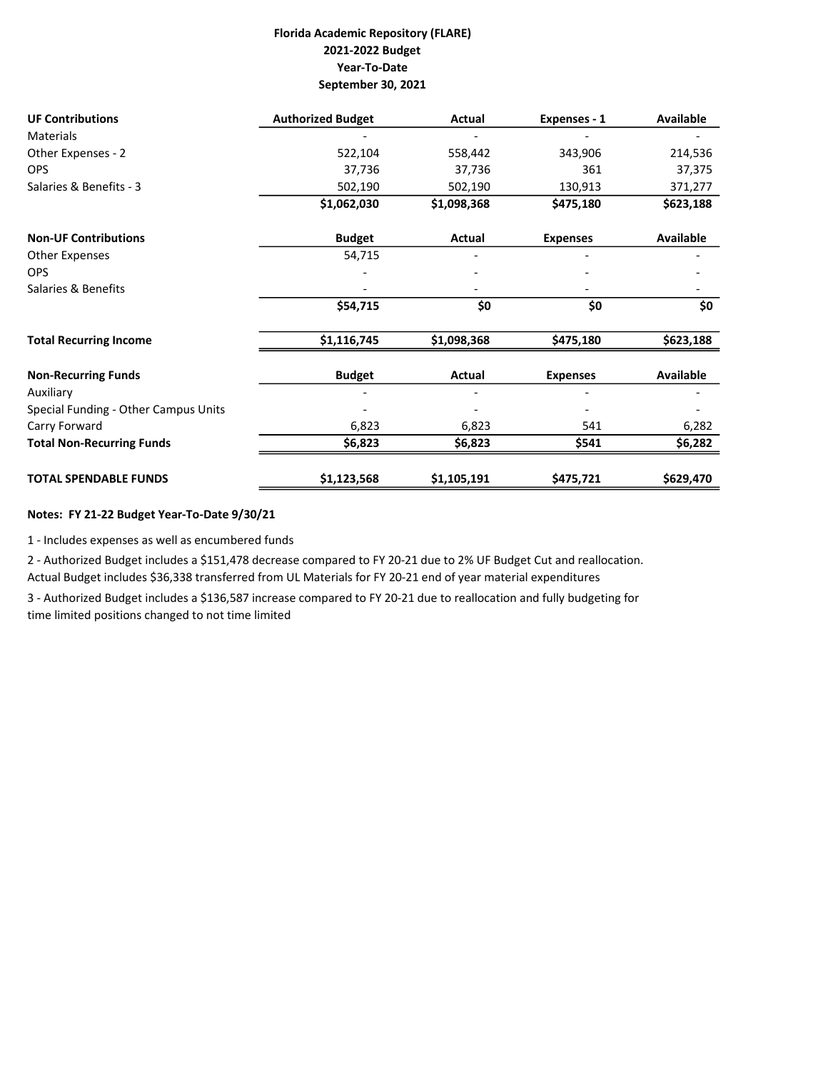## Florida Academic Repository (FLARE) 2021-2022 Budget Year-To-Date September 30, 2021

| <b>UF Contributions</b>              | <b>Authorized Budget</b> | Actual      | Expenses - 1    | Available        |
|--------------------------------------|--------------------------|-------------|-----------------|------------------|
| <b>Materials</b>                     |                          |             |                 |                  |
| Other Expenses - 2                   | 522,104                  | 558,442     | 343,906         | 214,536          |
| <b>OPS</b>                           | 37,736                   | 37,736      | 361             | 37,375           |
| Salaries & Benefits - 3              | 502,190                  | 502,190     | 130,913         | 371,277          |
|                                      | \$1,062,030              | \$1,098,368 | \$475,180       | \$623,188        |
| <b>Non-UF Contributions</b>          | <b>Budget</b>            | Actual      | <b>Expenses</b> | <b>Available</b> |
| Other Expenses                       | 54,715                   |             |                 |                  |
| <b>OPS</b>                           |                          |             |                 |                  |
| Salaries & Benefits                  |                          |             |                 |                  |
|                                      | \$54,715                 | \$0         | \$0             | \$0              |
| <b>Total Recurring Income</b>        | \$1,116,745              | \$1,098,368 | \$475,180       | \$623,188        |
| <b>Non-Recurring Funds</b>           | <b>Budget</b>            | Actual      | <b>Expenses</b> | <b>Available</b> |
| Auxiliary                            |                          |             |                 |                  |
| Special Funding - Other Campus Units |                          |             |                 |                  |
| Carry Forward                        | 6,823                    | 6,823       | 541             | 6,282            |
| <b>Total Non-Recurring Funds</b>     | \$6,823                  | \$6,823     | \$541           | \$6,282          |
| <b>TOTAL SPENDABLE FUNDS</b>         | \$1,123,568              | \$1,105,191 | \$475,721       | \$629,470        |

## Notes: FY 21-22 Budget Year-To-Date 9/30/21

1 - Includes expenses as well as encumbered funds

2 - Authorized Budget includes a \$151,478 decrease compared to FY 20-21 due to 2% UF Budget Cut and reallocation. Actual Budget includes \$36,338 transferred from UL Materials for FY 20-21 end of year material expenditures

3 - Authorized Budget includes a \$136,587 increase compared to FY 20-21 due to reallocation and fully budgeting for time limited positions changed to not time limited